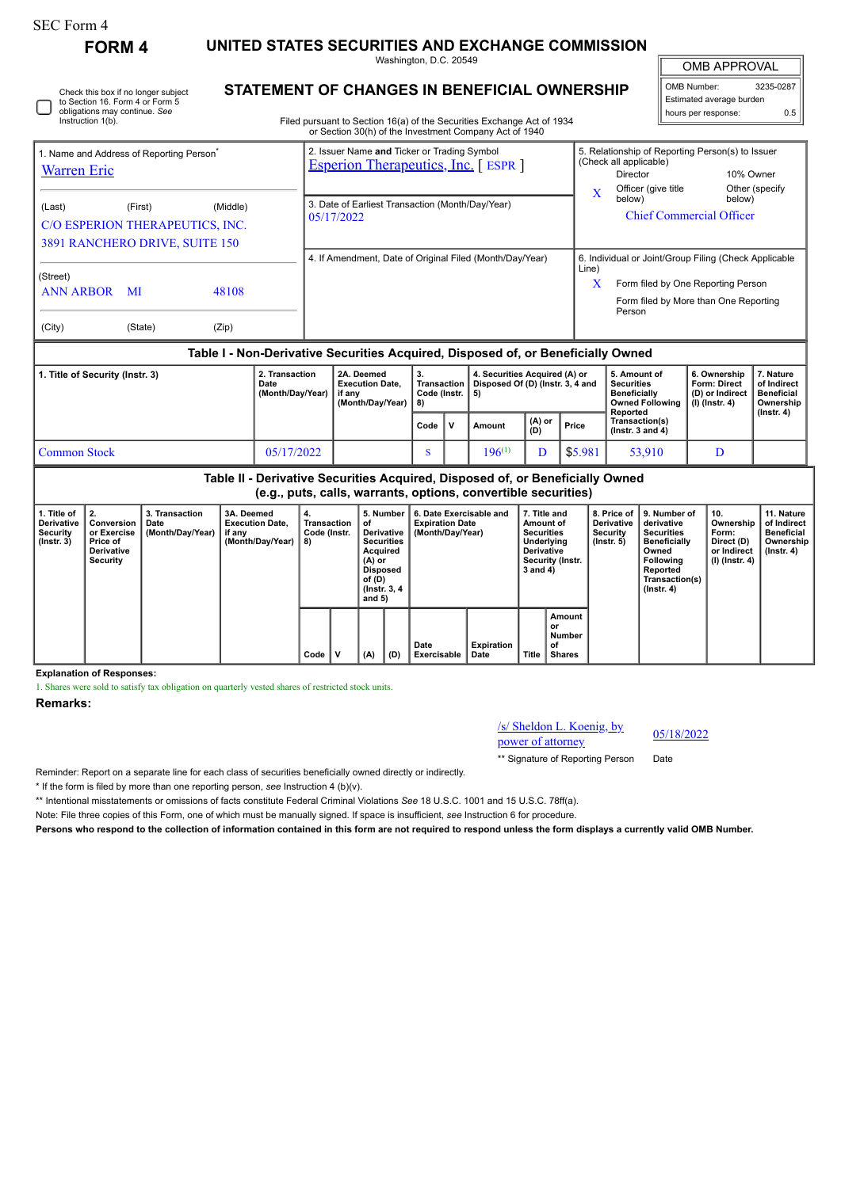Check this box if no longer subject

**FORM 4 UNITED STATES SECURITIES AND EXCHANGE COMMISSION**

Washington, D.C. 20549 **STATEMENT OF CHANGES IN BENEFICIAL OWNERSHIP**

OMB APPROVAL

 $\blacksquare$ 

| OMB Number:              | 3235-0287 |
|--------------------------|-----------|
| Estimated average burden |           |
| hours per response:      | ሰ 5       |

| to Section 16. Form 4 or Form 5<br>obligations may continue. See<br>Instruction 1(b). |                                                                                                                                      |                | Filed pursuant to Section 16(a) of the Securities Exchange Act of 1934<br>or Section 30(h) of the Investment Company Act of 1940                           |                                                                          | Estimated average burden<br>0.5<br>hours per response:                                                                               |  |  |
|---------------------------------------------------------------------------------------|--------------------------------------------------------------------------------------------------------------------------------------|----------------|------------------------------------------------------------------------------------------------------------------------------------------------------------|--------------------------------------------------------------------------|--------------------------------------------------------------------------------------------------------------------------------------|--|--|
| <b>Warren Eric</b><br>(Last)                                                          | 1. Name and Address of Reporting Person <sup>®</sup><br>(First)<br>C/O ESPERION THERAPEUTICS, INC.<br>3891 RANCHERO DRIVE, SUITE 150 | (Middle)       | 2. Issuer Name and Ticker or Trading Symbol<br><b>Esperion Therapeutics, Inc.</b> [ESPR]<br>3. Date of Earliest Transaction (Month/Day/Year)<br>05/17/2022 | (Check all applicable)<br>Director<br>Officer (give title<br>X<br>below) | 5. Relationship of Reporting Person(s) to Issuer<br>10% Owner<br>Other (specify)<br>below)<br><b>Chief Commercial Officer</b>        |  |  |
| (Street)<br><b>ANN ARBOR</b><br>MI<br>(City)<br>(State)                               |                                                                                                                                      | 48108<br>(Zip) | 4. If Amendment, Date of Original Filed (Month/Day/Year)                                                                                                   | Line)<br>X<br>Person                                                     | 6. Individual or Joint/Group Filing (Check Applicable<br>Form filed by One Reporting Person<br>Form filed by More than One Reporting |  |  |

# **Table I - Non-Derivative Securities Acquired, Disposed of, or Beneficially Owned**

| 1. Title of Security (Instr. 3) | 2. Transaction<br>Date<br>(Month/Day/Year) | 2A. Deemed<br><b>Execution Date.</b><br>if anv<br>(Month/Dav/Year) | З.<br>Transaction  <br>Code (Instr.   5)<br>-8) |              | 4. Securities Acquired (A) or<br>Disposed Of (D) (Instr. 3, 4 and |                                                   |         | 5. Amount of<br>Securities<br><b>Beneficially</b><br>Owned Following   (I) (Instr. 4)<br>Reported | 6. Ownership<br><b>Form: Direct</b><br>(D) or Indirect | . Nature<br>of Indirect<br><b>Beneficial</b><br>Ownership<br>$($ lnstr. 4 $)$ |
|---------------------------------|--------------------------------------------|--------------------------------------------------------------------|-------------------------------------------------|--------------|-------------------------------------------------------------------|---------------------------------------------------|---------|---------------------------------------------------------------------------------------------------|--------------------------------------------------------|-------------------------------------------------------------------------------|
|                                 |                                            |                                                                    | Code                                            | $\mathbf{v}$ | Amount                                                            | $\begin{pmatrix} (A) & or \\ (D) & \end{pmatrix}$ | Price   | Transaction(s)<br>( $lnstr.$ 3 and 4)                                                             |                                                        |                                                                               |
| <b>Common Stock</b>             | 05/17/2022                                 |                                                                    |                                                 |              | $196^{(1)}$                                                       |                                                   | \$5.981 | 53.910                                                                                            |                                                        |                                                                               |

| Table II - Derivative Securities Acquired, Disposed of, or Beneficially Owned<br>(e.g., puts, calls, warrants, options, convertible securities) |                                                                        |                                            |                                                                    |                                         |  |                                                                                                                                    |     |                                                                       |                           |                                                                                                                   |                                               |                                            |                                                                                                                                                              |                                                                          |                                                                           |
|-------------------------------------------------------------------------------------------------------------------------------------------------|------------------------------------------------------------------------|--------------------------------------------|--------------------------------------------------------------------|-----------------------------------------|--|------------------------------------------------------------------------------------------------------------------------------------|-----|-----------------------------------------------------------------------|---------------------------|-------------------------------------------------------------------------------------------------------------------|-----------------------------------------------|--------------------------------------------|--------------------------------------------------------------------------------------------------------------------------------------------------------------|--------------------------------------------------------------------------|---------------------------------------------------------------------------|
| 1. Title of<br>Derivative<br>Security<br>$($ lnstr. 3 $)$                                                                                       | Conversion<br>or Exercise<br>Price of<br><b>Derivative</b><br>Security | 3. Transaction<br>Date<br>(Month/Day/Year) | 3A. Deemed<br><b>Execution Date.</b><br>if any<br>(Month/Day/Year) | 4.<br>Transaction<br>Code (Instr.<br>8) |  | 5. Number<br>οf<br>Derivative<br><b>Securities</b><br>Acquired<br>(A) or<br><b>Disposed</b><br>of (D)<br>(Instr. 3, 4)<br>and $5)$ |     | 6. Date Exercisable and<br><b>Expiration Date</b><br>(Month/Day/Year) |                           | 7. Title and<br>Amount of<br><b>Securities</b><br>Underlying<br><b>Derivative</b><br>Security (Instr.<br>3 and 4) |                                               | Derivative<br>Security<br>$($ lnstr. 5 $)$ | 8. Price of   9. Number of<br>derivative<br>Securities<br><b>Beneficially</b><br>Owned<br><b>Following</b><br>Reported<br>Transaction(s)<br>$($ Instr. 4 $)$ | 10.<br>Ownership<br>Form:<br>Direct (D)<br>or Indirect<br>(I) (Instr. 4) | 11. Nature<br>of Indirect<br><b>Beneficial</b><br>Ownership<br>(Instr. 4) |
|                                                                                                                                                 |                                                                        |                                            |                                                                    | Code                                    |  | (A)                                                                                                                                | (D) | Date<br>Exercisable                                                   | <b>Expiration</b><br>Date | <b>Title</b>                                                                                                      | Amount<br>or<br>Number<br>of<br><b>Shares</b> |                                            |                                                                                                                                                              |                                                                          |                                                                           |

### **Explanation of Responses:**

1. Shares were sold to satisfy tax obligation on quarterly vested shares of restricted stock units.

## **Remarks:**

/s/ Sheldon L. Koenig, by  $\frac{s}{\text{S}}$  Sheldon L. Koenig, by<br>power of attorney 05/18/2022

\*\* Signature of Reporting Person Date

Reminder: Report on a separate line for each class of securities beneficially owned directly or indirectly.

\* If the form is filed by more than one reporting person, *see* Instruction 4 (b)(v).

\*\* Intentional misstatements or omissions of facts constitute Federal Criminal Violations *See* 18 U.S.C. 1001 and 15 U.S.C. 78ff(a).

Note: File three copies of this Form, one of which must be manually signed. If space is insufficient, *see* Instruction 6 for procedure.

**Persons who respond to the collection of information contained in this form are not required to respond unless the form displays a currently valid OMB Number.**